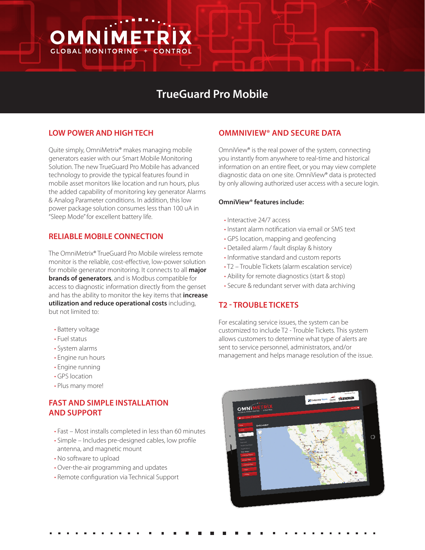# **TrueGuard Pro Mobile**

#### **LOW POWER AND HIGH TECH**

OMNIMETRI

**GLOBAL MONITORING +** 

Quite simply, OmniMetrix® makes managing mobile generators easier with our Smart Mobile Monitoring Solution. The new TrueGuard Pro Mobile has advanced technology to provide the typical features found in mobile asset monitors like location and run hours, plus the added capability of monitoring key generator Alarms & Analog Parameter conditions. In addition, this low power package solution consumes less than 100 uA in "Sleep Mode" for excellent battery life.

#### **RELIABLE MOBILE CONNECTION**

The OmniMetrix® TrueGuard Pro Mobile wireless remote monitor is the reliable, cost-effective, low-power solution for mobile generator monitoring. It connects to all **major brands of generators**, and is Modbus compatible for access to diagnostic information directly from the genset and has the ability to monitor the key items that **increase utilization and reduce operational costs** including, but not limited to:

- Battery voltage
- Fuel status
- System alarms
- Engine run hours
- Engine running
- GPS location
- Plus many more!

# **FAST AND SIMPLE INSTALLATION AND SUPPORT**

- Fast Most installs completed in less than 60 minutes
- Simple Includes pre-designed cables, low profile antenna, and magnetic mount
- No software to upload
- Over-the-air programming and updates
- Remote configuration via Technical Support

#### **OMMNIVIEW® AND SECURE DATA**

OmniView® is the real power of the system, connecting you instantly from anywhere to real-time and historical information on an entire fleet, or you may view complete diagnostic data on one site. OmniView® data is protected by only allowing authorized user access with a secure login.

#### **OmniView® features include:**

- Interactive 24/7 access
- Instant alarm notification via email or SMS text
- GPS location, mapping and geofencing
- Detailed alarm / fault display & history
- Informative standard and custom reports
- T2 Trouble Tickets (alarm escalation service)
- Ability for remote diagnostics (start & stop)
- Secure & redundant server with data archiving

#### **T2 - TROUBLE TICKETS**

For escalating service issues, the system can be customized to include T2 - Trouble Tickets. This system allows customers to determine what type of alerts are sent to service personnel, administrators, and/or management and helps manage resolution of the issue.